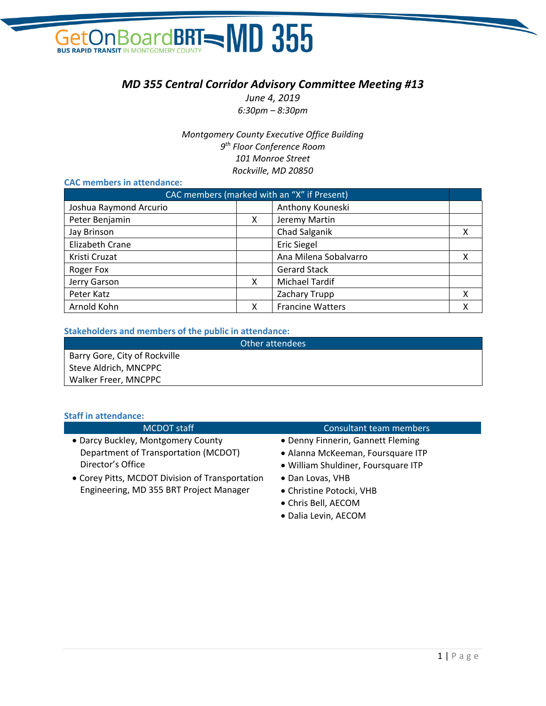# In BoardBRT - MD 355 Get **BUS RAPID TRANSIT IN**

# *MD 355 Central Corridor Advisory Committee Meeting #13*

*June 4, 2019 6:30pm – 8:30pm*

*Montgomery County Executive Office Building 9 th Floor Conference Room 101 Monroe Street Rockville, MD 20850*

## **CAC members in attendance:**

| CAC members (marked with an "X" if Present) |   |                         |   |
|---------------------------------------------|---|-------------------------|---|
| Joshua Raymond Arcurio                      |   | Anthony Kouneski        |   |
| Peter Benjamin                              | X | Jeremy Martin           |   |
| Jay Brinson                                 |   | Chad Salganik           | x |
| Elizabeth Crane                             |   | <b>Eric Siegel</b>      |   |
| Kristi Cruzat                               |   | Ana Milena Sobalvarro   | X |
| Roger Fox                                   |   | <b>Gerard Stack</b>     |   |
| Jerry Garson                                | x | <b>Michael Tardif</b>   |   |
| Peter Katz                                  |   | Zachary Trupp           | X |
| Arnold Kohn                                 | x | <b>Francine Watters</b> | χ |

### **Stakeholders and members of the public in attendance:**

| Other attendees               |  |  |  |
|-------------------------------|--|--|--|
| Barry Gore, City of Rockville |  |  |  |
| Steve Aldrich, MNCPPC         |  |  |  |
| Walker Freer, MNCPPC          |  |  |  |

#### **Staff in attendance:**

| <b>MCDOT</b> staff                              | Consultant team members             |
|-------------------------------------------------|-------------------------------------|
| • Darcy Buckley, Montgomery County              | • Denny Finnerin, Gannett Fleming   |
| Department of Transportation (MCDOT)            | • Alanna McKeeman, Foursquare ITP   |
| Director's Office                               | • William Shuldiner, Foursquare ITP |
| • Corey Pitts, MCDOT Division of Transportation | • Dan Lovas, VHB                    |
| Engineering, MD 355 BRT Project Manager         | • Christine Potocki, VHB            |
|                                                 | • Chris Bell, AECOM                 |

• Dalia Levin, AECOM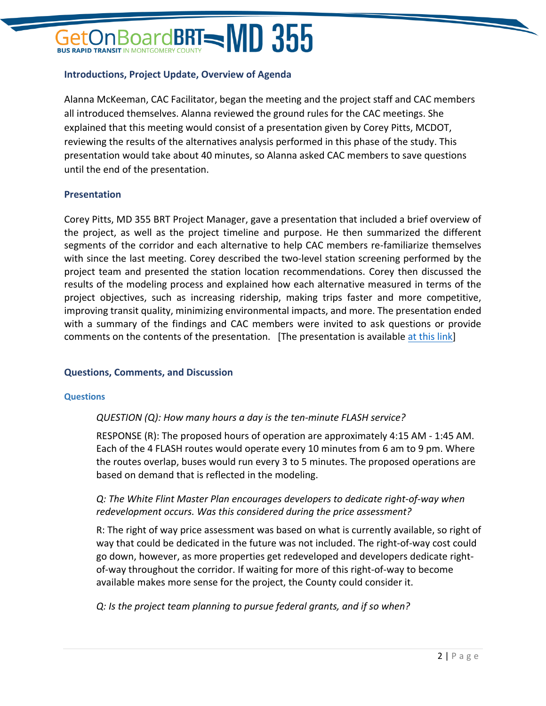# $\alpha$ ard**BRT=MD 355**

## **Introductions, Project Update, Overview of Agenda**

Alanna McKeeman, CAC Facilitator, began the meeting and the project staff and CAC members all introduced themselves. Alanna reviewed the ground rules for the CAC meetings. She explained that this meeting would consist of a presentation given by Corey Pitts, MCDOT, reviewing the results of the alternatives analysis performed in this phase of the study. This presentation would take about 40 minutes, so Alanna asked CAC members to save questions until the end of the presentation.

## **Presentation**

Corey Pitts, MD 355 BRT Project Manager, gave a presentation that included a brief overview of the project, as well as the project timeline and purpose. He then summarized the different segments of the corridor and each alternative to help CAC members re-familiarize themselves with since the last meeting. Corey described the two-level station screening performed by the project team and presented the station location recommendations. Corey then discussed the results of the modeling process and explained how each alternative measured in terms of the project objectives, such as increasing ridership, making trips faster and more competitive, improving transit quality, minimizing environmental impacts, and more. The presentation ended with a summary of the findings and CAC members were invited to ask questions or provide comments on the contents of the presentation. [The presentation is available [at this link\]](https://www.ridetheflash.com/wp-content/uploads/2019/06/MD355_CAC13_Presentation-web.pdf)

## **Questions, Comments, and Discussion**

### **Questions**

## *QUESTION (Q): How many hours a day is the ten-minute FLASH service?*

RESPONSE (R): The proposed hours of operation are approximately 4:15 AM - 1:45 AM. Each of the 4 FLASH routes would operate every 10 minutes from 6 am to 9 pm. Where the routes overlap, buses would run every 3 to 5 minutes. The proposed operations are based on demand that is reflected in the modeling.

## *Q: The White Flint Master Plan encourages developers to dedicate right-of-way when redevelopment occurs. Was this considered during the price assessment?*

R: The right of way price assessment was based on what is currently available, so right of way that could be dedicated in the future was not included. The right-of-way cost could go down, however, as more properties get redeveloped and developers dedicate rightof-way throughout the corridor. If waiting for more of this right-of-way to become available makes more sense for the project, the County could consider it.

*Q: Is the project team planning to pursue federal grants, and if so when?*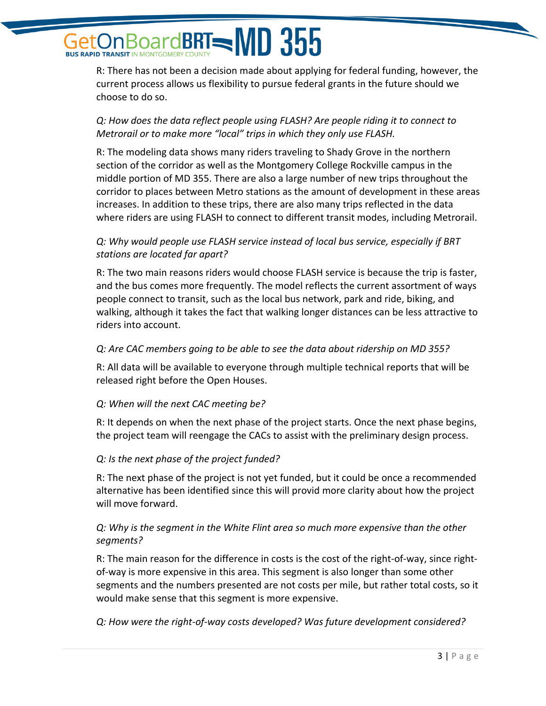# **BoardBRT= MD 355 BUS RAPID TRANSIT IN MONTGOMER**

R: There has not been a decision made about applying for federal funding, however, the current process allows us flexibility to pursue federal grants in the future should we choose to do so.

# *Q: How does the data reflect people using FLASH? Are people riding it to connect to Metrorail or to make more "local" trips in which they only use FLASH.*

R: The modeling data shows many riders traveling to Shady Grove in the northern section of the corridor as well as the Montgomery College Rockville campus in the middle portion of MD 355. There are also a large number of new trips throughout the corridor to places between Metro stations as the amount of development in these areas increases. In addition to these trips, there are also many trips reflected in the data where riders are using FLASH to connect to different transit modes, including Metrorail.

# *Q: Why would people use FLASH service instead of local bus service, especially if BRT stations are located far apart?*

R: The two main reasons riders would choose FLASH service is because the trip is faster, and the bus comes more frequently. The model reflects the current assortment of ways people connect to transit, such as the local bus network, park and ride, biking, and walking, although it takes the fact that walking longer distances can be less attractive to riders into account.

## *Q: Are CAC members going to be able to see the data about ridership on MD 355?*

R: All data will be available to everyone through multiple technical reports that will be released right before the Open Houses.

## *Q: When will the next CAC meeting be?*

R: It depends on when the next phase of the project starts. Once the next phase begins, the project team will reengage the CACs to assist with the preliminary design process.

## *Q: Is the next phase of the project funded?*

R: The next phase of the project is not yet funded, but it could be once a recommended alternative has been identified since this will provid more clarity about how the project will move forward.

# *Q: Why is the segment in the White Flint area so much more expensive than the other segments?*

R: The main reason for the difference in costs is the cost of the right-of-way, since rightof-way is more expensive in this area. This segment is also longer than some other segments and the numbers presented are not costs per mile, but rather total costs, so it would make sense that this segment is more expensive.

*Q: How were the right-of-way costs developed? Was future development considered?*